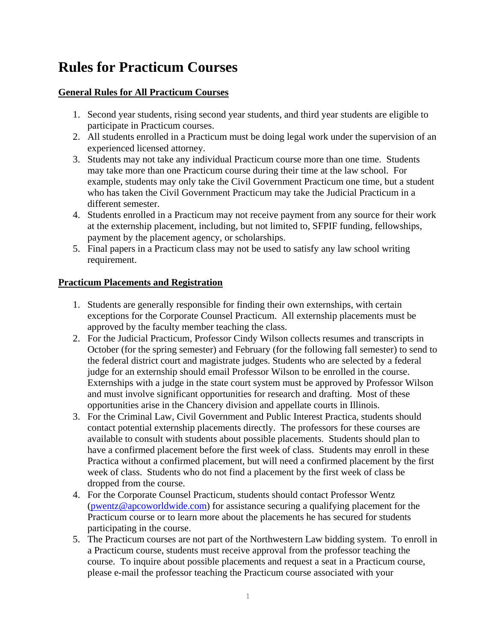# **Rules for Practicum Courses**

## **General Rules for All Practicum Courses**

- 1. Second year students, rising second year students, and third year students are eligible to participate in Practicum courses.
- 2. All students enrolled in a Practicum must be doing legal work under the supervision of an experienced licensed attorney.
- 3. Students may not take any individual Practicum course more than one time. Students may take more than one Practicum course during their time at the law school. For example, students may only take the Civil Government Practicum one time, but a student who has taken the Civil Government Practicum may take the Judicial Practicum in a different semester.
- 4. Students enrolled in a Practicum may not receive payment from any source for their work at the externship placement, including, but not limited to, SFPIF funding, fellowships, payment by the placement agency, or scholarships.
- 5. Final papers in a Practicum class may not be used to satisfy any law school writing requirement.

# **Practicum Placements and Registration**

- 1. Students are generally responsible for finding their own externships, with certain exceptions for the Corporate Counsel Practicum. All externship placements must be approved by the faculty member teaching the class.
- 2. For the Judicial Practicum, Professor Cindy Wilson collects resumes and transcripts in October (for the spring semester) and February (for the following fall semester) to send to the federal district court and magistrate judges. Students who are selected by a federal judge for an externship should email Professor Wilson to be enrolled in the course. Externships with a judge in the state court system must be approved by Professor Wilson and must involve significant opportunities for research and drafting. Most of these opportunities arise in the Chancery division and appellate courts in Illinois.
- 3. For the Criminal Law, Civil Government and Public Interest Practica, students should contact potential externship placements directly. The professors for these courses are available to consult with students about possible placements. Students should plan to have a confirmed placement before the first week of class. Students may enroll in these Practica without a confirmed placement, but will need a confirmed placement by the first week of class. Students who do not find a placement by the first week of class be dropped from the course.
- 4. For the Corporate Counsel Practicum, students should contact Professor Wentz [\(pwentz@apcoworldwide.com\)](mailto:pwentz@apcoworldwide.com) for assistance securing a qualifying placement for the Practicum course or to learn more about the placements he has secured for students participating in the course.
- 5. The Practicum courses are not part of the Northwestern Law bidding system. To enroll in a Practicum course, students must receive approval from the professor teaching the course. To inquire about possible placements and request a seat in a Practicum course, please e-mail the professor teaching the Practicum course associated with your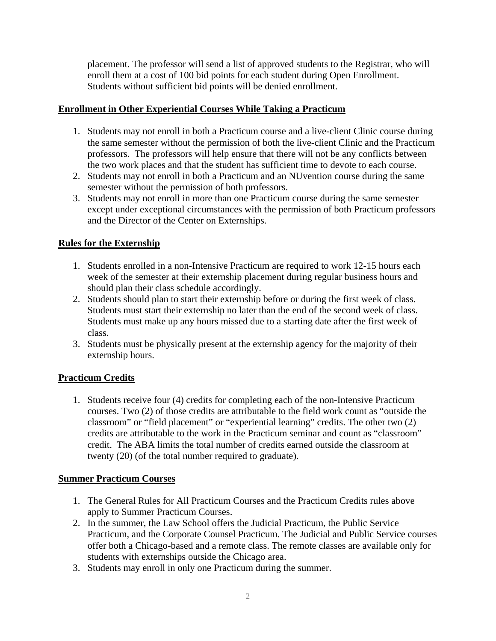placement. The professor will send a list of approved students to the Registrar, who will enroll them at a cost of 100 bid points for each student during Open Enrollment. Students without sufficient bid points will be denied enrollment.

#### **Enrollment in Other Experiential Courses While Taking a Practicum**

- 1. Students may not enroll in both a Practicum course and a live-client Clinic course during the same semester without the permission of both the live-client Clinic and the Practicum professors. The professors will help ensure that there will not be any conflicts between the two work places and that the student has sufficient time to devote to each course.
- 2. Students may not enroll in both a Practicum and an NUvention course during the same semester without the permission of both professors.
- 3. Students may not enroll in more than one Practicum course during the same semester except under exceptional circumstances with the permission of both Practicum professors and the Director of the Center on Externships.

#### **Rules for the Externship**

- 1. Students enrolled in a non-Intensive Practicum are required to work 12-15 hours each week of the semester at their externship placement during regular business hours and should plan their class schedule accordingly.
- 2. Students should plan to start their externship before or during the first week of class. Students must start their externship no later than the end of the second week of class. Students must make up any hours missed due to a starting date after the first week of class.
- 3. Students must be physically present at the externship agency for the majority of their externship hours.

## **Practicum Credits**

1. Students receive four (4) credits for completing each of the non-Intensive Practicum courses. Two (2) of those credits are attributable to the field work count as "outside the classroom" or "field placement" or "experiential learning" credits. The other two (2) credits are attributable to the work in the Practicum seminar and count as "classroom" credit. The ABA limits the total number of credits earned outside the classroom at twenty (20) (of the total number required to graduate).

#### **Summer Practicum Courses**

- 1. The General Rules for All Practicum Courses and the Practicum Credits rules above apply to Summer Practicum Courses.
- 2. In the summer, the Law School offers the Judicial Practicum, the Public Service Practicum, and the Corporate Counsel Practicum. The Judicial and Public Service courses offer both a Chicago-based and a remote class. The remote classes are available only for students with externships outside the Chicago area.
- 3. Students may enroll in only one Practicum during the summer.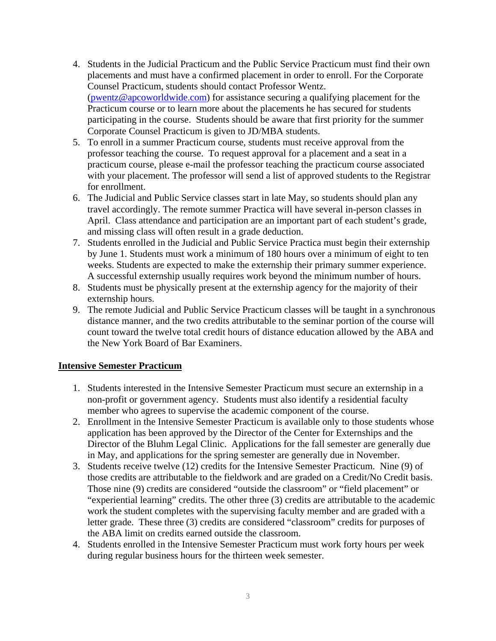- 4. Students in the Judicial Practicum and the Public Service Practicum must find their own placements and must have a confirmed placement in order to enroll. For the Corporate Counsel Practicum, students should contact Professor Wentz. [\(pwentz@apcoworldwide.com\)](mailto:pwentz@apcoworldwide.com) for assistance securing a qualifying placement for the Practicum course or to learn more about the placements he has secured for students participating in the course. Students should be aware that first priority for the summer Corporate Counsel Practicum is given to JD/MBA students.
- 5. To enroll in a summer Practicum course, students must receive approval from the professor teaching the course. To request approval for a placement and a seat in a practicum course, please e-mail the professor teaching the practicum course associated with your placement. The professor will send a list of approved students to the Registrar for enrollment.
- 6. The Judicial and Public Service classes start in late May, so students should plan any travel accordingly. The remote summer Practica will have several in-person classes in April. Class attendance and participation are an important part of each student's grade, and missing class will often result in a grade deduction.
- 7. Students enrolled in the Judicial and Public Service Practica must begin their externship by June 1. Students must work a minimum of 180 hours over a minimum of eight to ten weeks. Students are expected to make the externship their primary summer experience. A successful externship usually requires work beyond the minimum number of hours.
- 8. Students must be physically present at the externship agency for the majority of their externship hours.
- 9. The remote Judicial and Public Service Practicum classes will be taught in a synchronous distance manner, and the two credits attributable to the seminar portion of the course will count toward the twelve total credit hours of distance education allowed by the ABA and the New York Board of Bar Examiners.

#### **Intensive Semester Practicum**

- 1. Students interested in the Intensive Semester Practicum must secure an externship in a non-profit or government agency. Students must also identify a residential faculty member who agrees to supervise the academic component of the course.
- 2. Enrollment in the Intensive Semester Practicum is available only to those students whose application has been approved by the Director of the Center for Externships and the Director of the Bluhm Legal Clinic. Applications for the fall semester are generally due in May, and applications for the spring semester are generally due in November.
- 3. Students receive twelve (12) credits for the Intensive Semester Practicum. Nine (9) of those credits are attributable to the fieldwork and are graded on a Credit/No Credit basis. Those nine (9) credits are considered "outside the classroom" or "field placement" or "experiential learning" credits. The other three (3) credits are attributable to the academic work the student completes with the supervising faculty member and are graded with a letter grade. These three (3) credits are considered "classroom" credits for purposes of the ABA limit on credits earned outside the classroom.
- 4. Students enrolled in the Intensive Semester Practicum must work forty hours per week during regular business hours for the thirteen week semester.